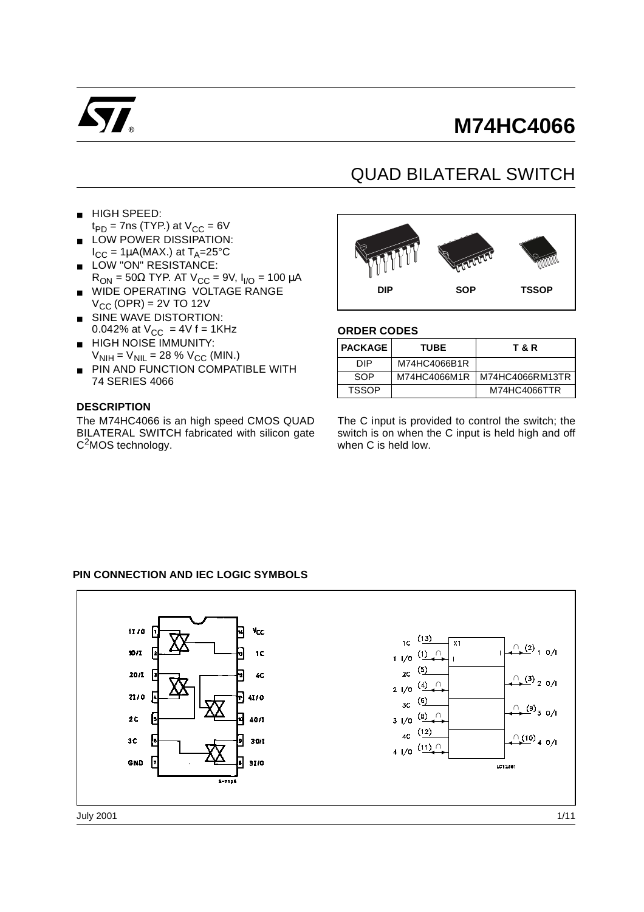

# **M74HC4066**

# QUAD BILATERAL SWITCH

- HIGH SPEED:  $t_{PD}$  = 7ns (TYP.) at  $V_{CC}$  = 6V
- LOW POWER DISSIPATION:  $I_{CC} = 1\mu A(MAX.)$  at  $T_A = 25^{\circ}C$
- LOW "ON" RESISTANCE:  $R_{ON}$  = 50Ω TYP. AT V<sub>CC</sub> = 9V, I<sub>I/O</sub> = 100 μA
- WIDE OPERATING VOLTAGE RANGE
- $V_{CC}$  (OPR) = 2V TO 12V ■ SINE WAVE DISTORTION:
- 0.042% at  $V_{CC}$  = 4V f = 1KHz ■ HIGH NOISE IMMUNITY:
- $V_{\text{NIH}} = V_{\text{NIL}} = 28 \% V_{\text{CC}}$  (MIN.)
- PIN AND FUNCTION COMPATIBLE WITH 74 SERIES 4066

#### **DESCRIPTION**

The M74HC4066 is an high speed CMOS QUAD BILATERAL SWITCH fabricated with silicon gate  $C<sup>2</sup>$ MOS technology.



#### **ORDER CODES**

| <b>PACKAGE</b> | <b>TUBE</b>  | <b>T &amp; R</b> |
|----------------|--------------|------------------|
| DIP            | M74HC4066B1R |                  |
| SOP            | M74HC4066M1R | M74HC4066RM13TR  |
| TSSOP          |              | M74HC4066TTR     |

The C input is provided to control the switch; the switch is on when the C input is held high and off when C is held low.

#### **PIN CONNECTION AND IEC LOGIC SYMBOLS**

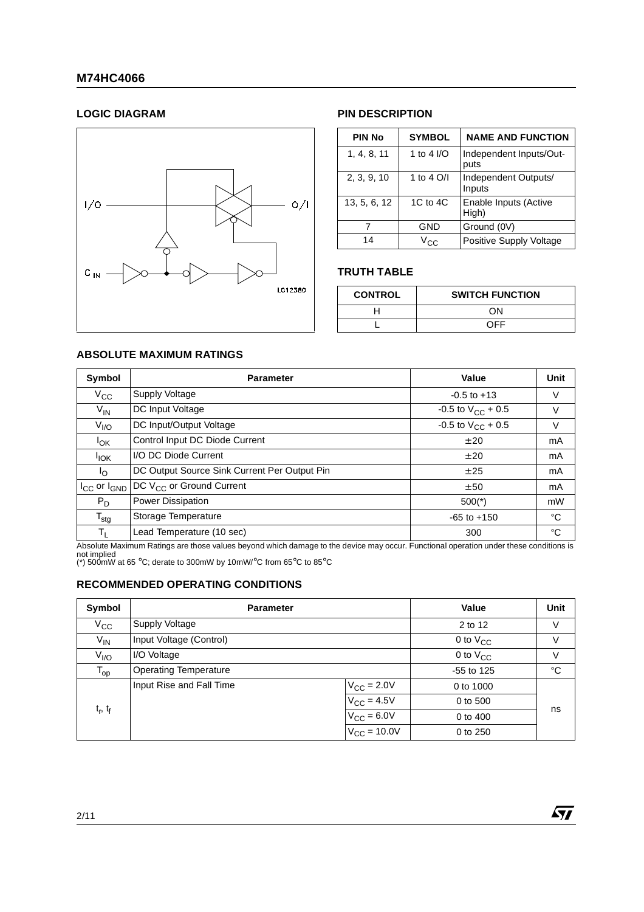#### LOGIC DIAGRAM **PIN DESCRIPTION**



| <b>PIN No</b> | <b>SYMBOL</b> | <b>NAME AND FUNCTION</b>        |
|---------------|---------------|---------------------------------|
| 1, 4, 8, 11   | 1 to 4 $I/O$  | Independent Inputs/Out-<br>puts |
| 2, 3, 9, 10   | 1 to 4 O/I    | Independent Outputs/<br>Inputs  |
| 13, 5, 6, 12  | 1C to 4C      | Enable Inputs (Active<br>High)  |
|               | GND           | Ground (0V)                     |
| 14            | $V_{\rm CC}$  | Positive Supply Voltage         |

### **TRUTH TABLE**

| <b>CONTROL</b> | <b>SWITCH FUNCTION</b> |
|----------------|------------------------|
|                | ΩN                     |
|                | OFF                    |

57

#### **ABSOLUTE MAXIMUM RATINGS**

| Symbol                      | <b>Parameter</b>                             | Value                    | Unit |
|-----------------------------|----------------------------------------------|--------------------------|------|
| $V_{\rm CC}$                | Supply Voltage                               | $-0.5$ to $+13$          | V    |
| $V_{IN}$                    | <b>DC Input Voltage</b>                      | -0.5 to $V_{CC}$ + 0.5   | V    |
| $V_{I/O}$                   | DC Input/Output Voltage                      | $-0.5$ to $V_{CC}$ + 0.5 | V    |
| <b>I<sub>OK</sub></b>       | Control Input DC Diode Current               | ±20                      | mA   |
| $I_{IOK}$                   | I/O DC Diode Current                         | ±20                      | mA   |
| Ιo                          | DC Output Source Sink Current Per Output Pin | ± 25                     | mA   |
| $I_{CC}$ or $I_{GND}$       | DC $V_{CC}$ or Ground Current                | ± 50                     | mA   |
| $P_D$                       | Power Dissipation                            | $500(*)$                 | mW   |
| $\mathsf{T}_{\textsf{stg}}$ | Storage Temperature                          | $-65$ to $+150$          | °C   |
| T <sub>L</sub>              | Lead Temperature (10 sec)                    | 300                      | °C   |

Absolute Maximum Ratings are those values beyond which damage to the device may occur. Functional operation under these conditions is<br>not implied<br>(\*) 500mW at 65 °C; derate to 300mW by 10mW/°C from 65°C to 85°C

#### **RECOMMENDED OPERATING CONDITIONS**

| Symbol                          | <b>Parameter</b>             | Value                  | <b>Unit</b> |    |  |
|---------------------------------|------------------------------|------------------------|-------------|----|--|
| $V_{\rm CC}$                    | Supply Voltage               | 2 to 12                | V           |    |  |
| $V_{IN}$                        | Input Voltage (Control)      | 0 to $V_{CC}$          | V           |    |  |
| $V_{I/O}$                       | I/O Voltage                  | 0 to $V_{CC}$          | V           |    |  |
| $\mathsf{T}_{\mathsf{op}}$      | <b>Operating Temperature</b> | $-55$ to 125           | $^{\circ}C$ |    |  |
|                                 | Input Rise and Fall Time     | $V_{\text{CC}} = 2.0V$ | 0 to 1000   |    |  |
|                                 |                              | $V_{\text{CC}} = 4.5V$ | 0 to 500    |    |  |
| t <sub>r</sub> , t <sub>f</sub> |                              | $V_{\text{CC}} = 6.0V$ | 0 to 400    | ns |  |
|                                 |                              | $V_{\rm CC} = 10.0 V$  | 0 to 250    |    |  |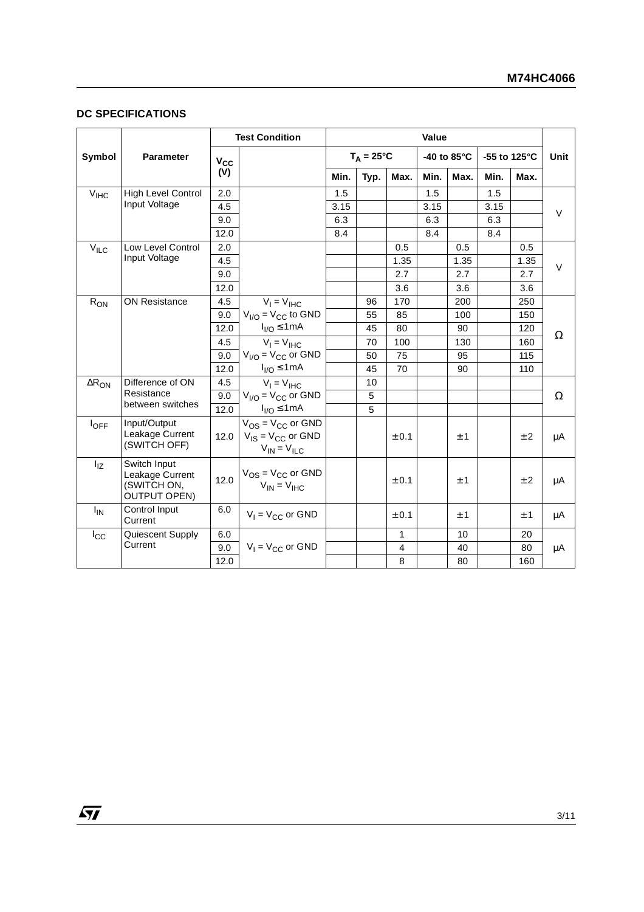#### **DC SPECIFICATIONS**

|                   |                                                                       |          | <b>Test Condition</b>                                                        | Value |                     |              |      |             |              |      |        |  |
|-------------------|-----------------------------------------------------------------------|----------|------------------------------------------------------------------------------|-------|---------------------|--------------|------|-------------|--------------|------|--------|--|
| Symbol            | <b>Parameter</b>                                                      | $V_{CC}$ |                                                                              |       | $T_A = 25^{\circ}C$ |              |      | -40 to 85°C | -55 to 125°C |      | Unit   |  |
|                   |                                                                       | (V)      |                                                                              | Min.  | Typ.                | Max.         | Min. | Max.        | Min.         | Max. |        |  |
| V <sub>IHC</sub>  | <b>High Level Control</b>                                             | 2.0      |                                                                              | 1.5   |                     |              | 1.5  |             | 1.5          |      |        |  |
|                   | Input Voltage                                                         | 4.5      |                                                                              | 3.15  |                     |              | 3.15 |             | 3.15         |      | $\vee$ |  |
|                   |                                                                       | 9.0      |                                                                              | 6.3   |                     |              | 6.3  |             | 6.3          |      |        |  |
|                   |                                                                       | 12.0     |                                                                              | 8.4   |                     |              | 8.4  |             | 8.4          |      |        |  |
| $V_{ILC}$         | Low Level Control                                                     | 2.0      |                                                                              |       |                     | 0.5          |      | 0.5         |              | 0.5  |        |  |
|                   | Input Voltage                                                         | 4.5      |                                                                              |       |                     | 1.35         |      | 1.35        |              | 1.35 | $\vee$ |  |
|                   |                                                                       | 9.0      |                                                                              |       |                     | 2.7          |      | 2.7         |              | 2.7  |        |  |
|                   |                                                                       | 12.0     |                                                                              |       |                     | 3.6          |      | 3.6         |              | 3.6  |        |  |
| $R_{ON}$          | <b>ON Resistance</b>                                                  | 4.5      | $V_I = V_{IHC}$                                                              |       | 96                  | 170          |      | 200         |              | 250  |        |  |
|                   |                                                                       | 9.0      | $V_{I/O}$ = $V_{CC}$ to GND                                                  |       | 55                  | 85           |      | 100         |              | 150  |        |  |
|                   |                                                                       | 12.0     | $I_{I/O} \le 1 mA$                                                           |       | 45                  | 80           |      | 90          |              | 120  | Ω      |  |
|                   |                                                                       | 4.5      | $V_1 = V_{IHC}$                                                              |       | 70                  | 100          |      | 130         |              | 160  |        |  |
|                   |                                                                       | 9.0      | $V_{I/O} = V_{CC}$ or GND                                                    |       | 50                  | 75           |      | 95          |              | 115  |        |  |
|                   |                                                                       | 12.0     | $I_{I/O} \le 1 mA$                                                           |       | 45                  | 70           |      | 90          |              | 110  |        |  |
| $\Delta R_{ON}$   | Difference of ON                                                      | 4.5      | $V_1 = V_{IHC}$                                                              |       | 10                  |              |      |             |              |      |        |  |
|                   | Resistance                                                            | 9.0      | $V_{I/O}$ = $V_{CC}$ or GND                                                  |       | 5                   |              |      |             |              |      | Ω      |  |
|                   | between switches                                                      | 12.0     | $I_{I/O} \le 1mA$                                                            |       | 5                   |              |      |             |              |      |        |  |
| $I_{\text{OFF}}$  | Input/Output<br>Leakage Current<br>(SWITCH OFF)                       | 12.0     | $V_{OS}$ = $V_{CC}$ or GND<br>$V_{IS} = V_{CC}$ or GND<br>$V_{IN} = V_{ILC}$ |       |                     | ± 0.1        |      | ±1          |              | ± 2  | μA     |  |
| $I_{\mathsf{IZ}}$ | Switch Input<br>Leakage Current<br>(SWITCH ON,<br><b>OUTPUT OPEN)</b> | 12.0     | $V_{OS}$ = $V_{CC}$ or GND<br>$V_{IN} = V_{IHC}$                             |       |                     | ± 0.1        |      | ±1          |              | ±2   | μA     |  |
| I <sub>IN</sub>   | Control Input<br>Current                                              | 6.0      | $V_1 = V_{CC}$ or GND                                                        |       |                     | ± 0.1        |      | ±1          |              | ±1   | μA     |  |
| $I_{\rm CC}$      | Quiescent Supply                                                      | 6.0      |                                                                              |       |                     | $\mathbf{1}$ |      | 10          |              | 20   |        |  |
|                   | Current                                                               | 9.0      | $V_1 = V_{CC}$ or GND                                                        |       |                     | 4            |      | 40          |              | 80   | μA     |  |
|                   |                                                                       |          |                                                                              |       |                     | 8            |      | 80          |              | 160  |        |  |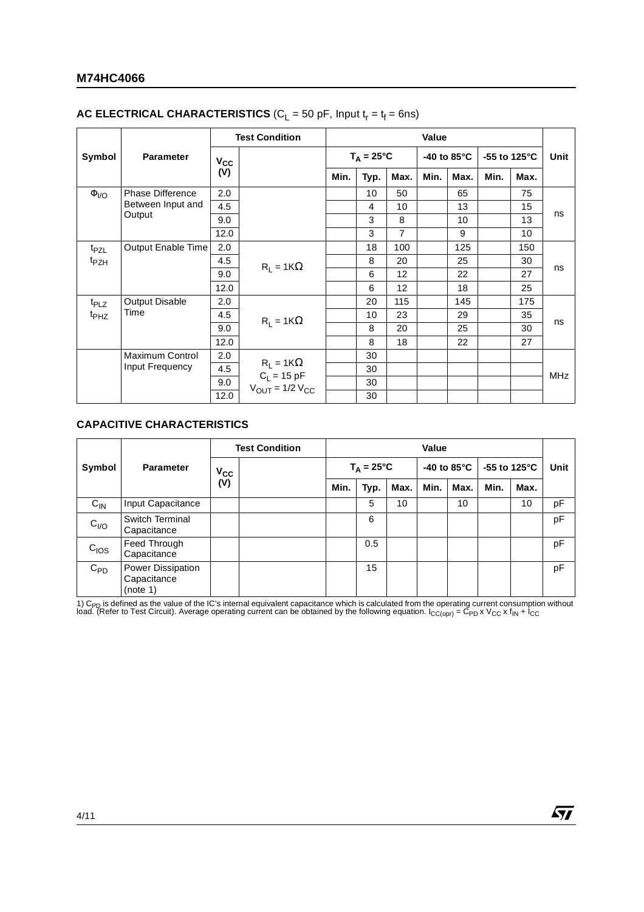|                       |                         | <b>Test Condition</b> |                                                             | Value               |      |                |                        |      |                         |     |            |
|-----------------------|-------------------------|-----------------------|-------------------------------------------------------------|---------------------|------|----------------|------------------------|------|-------------------------|-----|------------|
| Symbol                | <b>Parameter</b>        | $V_{CC}$              |                                                             | $T_A = 25^{\circ}C$ |      |                | -40 to 85 $^{\circ}$ C |      | -55 to 125 $^{\circ}$ C |     | Unit       |
|                       | (V)                     |                       | Min.                                                        | Typ.                | Max. | Min.           | Max.                   | Min. | Max.                    |     |            |
| $\Phi$ <sub>I/O</sub> | <b>Phase Difference</b> | 2.0                   |                                                             |                     | 10   | 50             |                        | 65   |                         | 75  |            |
|                       | Between Input and       | 4.5                   |                                                             |                     | 4    | 10             |                        | 13   |                         | 15  |            |
| Output                | 9.0                     |                       |                                                             | 3                   | 8    |                | 10                     |      | 13                      | ns  |            |
|                       |                         | 12.0                  |                                                             |                     | 3    | $\overline{7}$ |                        | 9    |                         | 10  |            |
| t <sub>PZL</sub>      | Output Enable Time      | 2.0                   | $R_L = 1K\Omega$                                            |                     | 18   | 100            |                        | 125  |                         | 150 | ns         |
| <sup>t</sup> PZH      |                         | 4.5                   |                                                             |                     | 8    | 20             |                        | 25   |                         | 30  |            |
|                       |                         | 9.0                   |                                                             |                     | 6    | 12             |                        | 22   |                         | 27  |            |
|                       |                         | 12.0                  |                                                             |                     | 6    | 12             |                        | 18   |                         | 25  |            |
| t <sub>PLZ</sub>      | Output Disable          | 2.0                   |                                                             |                     | 20   | 115            |                        | 145  |                         | 175 |            |
| <sup>t</sup> PHZ      | Time                    | 4.5                   | $R_1 = 1K\Omega$                                            |                     | 10   | 23             |                        | 29   |                         | 35  |            |
|                       |                         | 9.0                   |                                                             |                     | 8    | 20             |                        | 25   |                         | 30  | ns         |
|                       |                         | 12.0                  |                                                             |                     | 8    | 18             |                        | 22   |                         | 27  |            |
|                       | <b>Maximum Control</b>  | 2.0                   |                                                             |                     | 30   |                |                        |      |                         |     | <b>MHz</b> |
|                       | Input Frequency         | 4.5                   |                                                             |                     | 30   |                |                        |      |                         |     |            |
|                       |                         | 9.0                   | $R_L = 1K\Omega$<br>$C_L = 15 pF$<br>$V_{OUT} = 1/2 V_{CC}$ |                     | 30   |                |                        |      |                         |     |            |
|                       |                         | 12.0                  |                                                             |                     | 30   |                |                        |      |                         |     |            |

### **AC ELECTRICAL CHARACTERISTICS** ( $C_L$  = 50 pF, Input  $t_r = t_f = 6$ ns)

#### **CAPACITIVE CHARACTERISTICS**

|                  |                                              | <b>Test Condition</b> |  | Value               |      |      |                       |      |                        |      |      |
|------------------|----------------------------------------------|-----------------------|--|---------------------|------|------|-----------------------|------|------------------------|------|------|
| Symbol           | <b>Parameter</b>                             | $V_{\rm CC}$<br>(V)   |  | $T_A = 25^{\circ}C$ |      |      | -40 to $85^{\circ}$ C |      | -55 to 125 $\degree$ C |      | Unit |
|                  |                                              |                       |  | Min.                | Typ. | Max. | Min.                  | Max. | Min.                   | Max. |      |
| $C_{IN}$         | Input Capacitance                            |                       |  |                     | 5    | 10   |                       | 10   |                        | 10   | pF   |
| C <sub>I/O</sub> | Switch Terminal<br>Capacitance               |                       |  |                     | 6    |      |                       |      |                        |      | pF   |
| C <sub>IOS</sub> | Feed Through<br>Capacitance                  |                       |  |                     | 0.5  |      |                       |      |                        |      | pF   |
| $C_{PD}$         | Power Dissipation<br>Capacitance<br>(note 1) |                       |  |                     | 15   |      |                       |      |                        |      | pF   |

1) C<sub>PD</sub> is defined as the value of the IC's internal equivalent capacitance which is calculated from the operating current consumption without<br>load. (Refer to Test Circuit). Average operating current can be obtained by th

57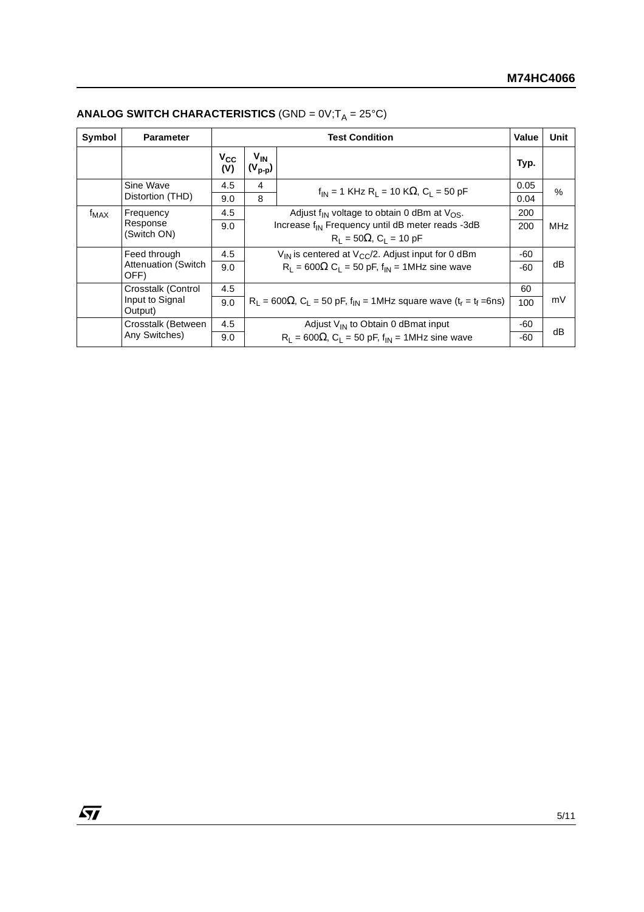| Symbol    | <b>Parameter</b>                   |                     | <b>Test Condition</b>                                        |                                                                                                                        |            |               |  |
|-----------|------------------------------------|---------------------|--------------------------------------------------------------|------------------------------------------------------------------------------------------------------------------------|------------|---------------|--|
|           |                                    | $V_{\rm CC}$<br>(V) | $V_{IN}$<br>$(V_{p-p})$                                      |                                                                                                                        | Typ.       |               |  |
|           | Sine Wave                          | 4.5                 | 4                                                            | $f_{IN}$ = 1 KHz R <sub>1</sub> = 10 K $\Omega$ , C <sub>1</sub> = 50 pF                                               | 0.05       | $\frac{0}{0}$ |  |
|           | Distortion (THD)                   | 9.0                 | 8                                                            |                                                                                                                        | 0.04       |               |  |
| $f_{MAX}$ | Frequency                          | 4.5                 |                                                              | Adjust $f_{IN}$ voltage to obtain 0 dBm at $V_{OS}$ .                                                                  | 200        |               |  |
| Response  |                                    | 9.0                 | Increase f <sub>IN</sub> Frequency until dB meter reads -3dB | 200                                                                                                                    | <b>MHz</b> |               |  |
|           | (Switch ON)                        |                     |                                                              | $R_1 = 50\Omega$ , C <sub>1</sub> = 10 pF                                                                              |            |               |  |
|           | Feed through                       | 4.5                 |                                                              | $V_{IN}$ is centered at $V_{CC}/2$ . Adjust input for 0 dBm                                                            | -60        |               |  |
|           | <b>Attenuation (Switch</b><br>OFF) | 9.0                 |                                                              | $R_1 = 600\Omega C_1 = 50$ pF, $f_{IN} = 1$ MHz sine wave                                                              | -60        | dB            |  |
|           | Crosstalk (Control                 | 4.5                 |                                                              |                                                                                                                        | 60         |               |  |
|           | Input to Signal<br>Output)         | 9.0                 |                                                              | $R_1 = 600\Omega$ , C <sub>1</sub> = 50 pF, f <sub>IN</sub> = 1MHz square wave (t <sub>r</sub> = t <sub>f</sub> = 6ns) | 100        | mV            |  |
|           | Crosstalk (Between                 | 4.5                 |                                                              | Adjust $V_{IN}$ to Obtain 0 dBmat input                                                                                | -60        |               |  |
|           | Any Switches)                      | 9.0                 |                                                              | $R_1 = 600\Omega$ , C <sub>1</sub> = 50 pF, f <sub>IN</sub> = 1MHz sine wave                                           | -60        | dB            |  |

## **ANALOG SWITCH CHARACTERISTICS**  $(GND = 0V; T_A = 25°C)$

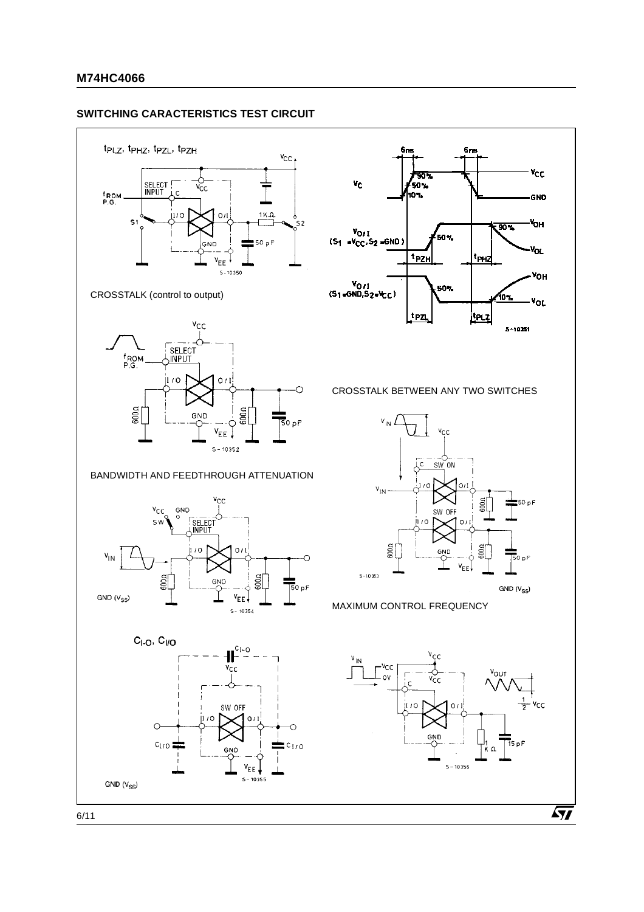#### **SWITCHING CARACTERISTICS TEST CIRCUIT**

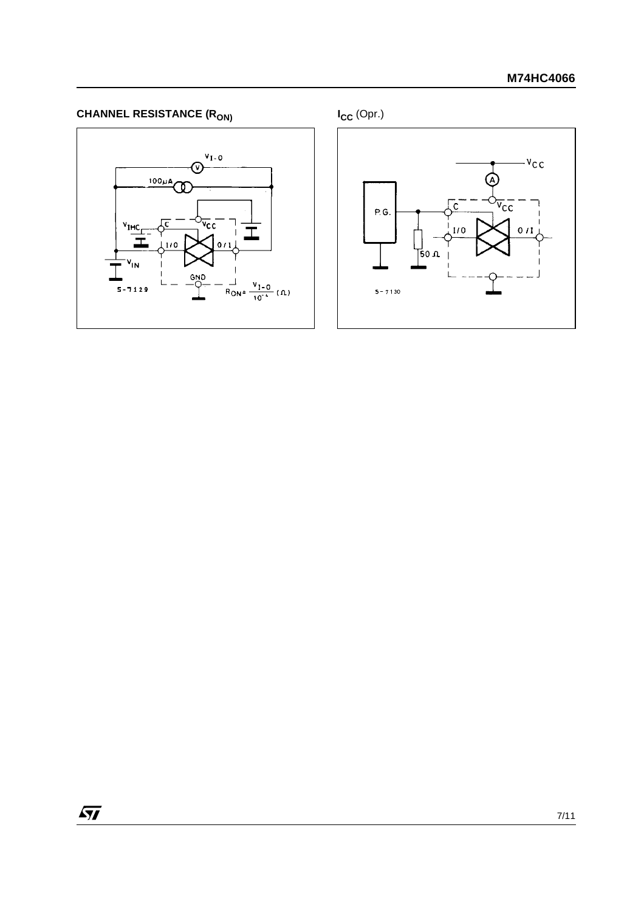## **CHANNEL RESISTANCE (R<sub>ON)</sub> ICC** (Opr.)





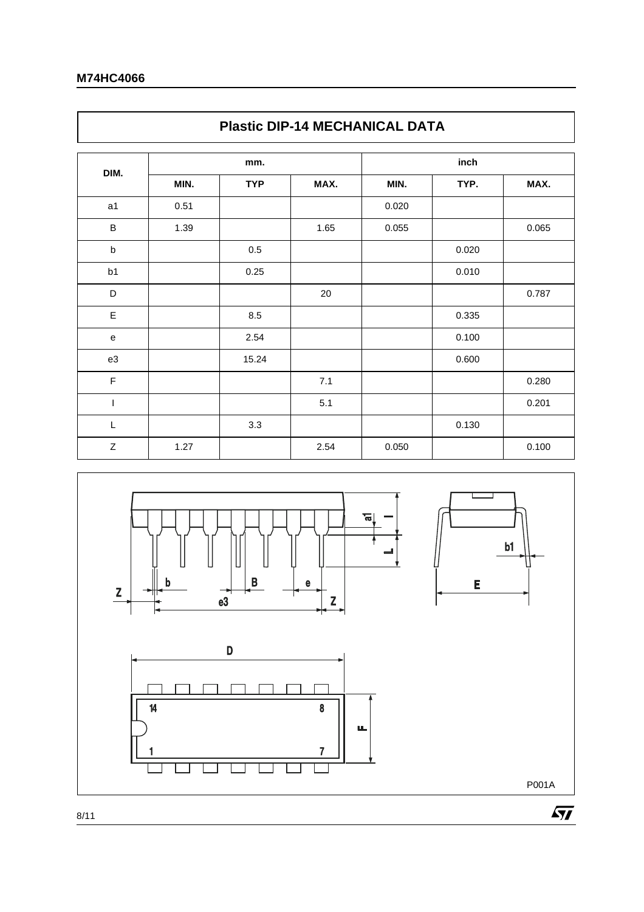$\Gamma$ 

|                                            | <b>Plastic DIP-14 MECHANICAL DATA</b> |            |      |       |       |       |  |  |  |  |  |
|--------------------------------------------|---------------------------------------|------------|------|-------|-------|-------|--|--|--|--|--|
|                                            |                                       | mm.        |      | inch  |       |       |  |  |  |  |  |
| DIM.                                       | MIN.                                  | <b>TYP</b> | MAX. | MIN.  | TYP.  | MAX.  |  |  |  |  |  |
| a1                                         | 0.51                                  |            |      | 0.020 |       |       |  |  |  |  |  |
| B                                          | 1.39                                  |            | 1.65 | 0.055 |       | 0.065 |  |  |  |  |  |
| $\sf b$                                    |                                       | 0.5        |      |       | 0.020 |       |  |  |  |  |  |
| b <sub>1</sub>                             |                                       | 0.25       |      |       | 0.010 |       |  |  |  |  |  |
| D                                          |                                       |            | 20   |       |       | 0.787 |  |  |  |  |  |
| E                                          |                                       | 8.5        |      |       | 0.335 |       |  |  |  |  |  |
| $\mathsf{e}% _{0}\left( \mathsf{e}\right)$ |                                       | 2.54       |      |       | 0.100 |       |  |  |  |  |  |
| e3                                         |                                       | 15.24      |      |       | 0.600 |       |  |  |  |  |  |
| F                                          |                                       |            | 7.1  |       |       | 0.280 |  |  |  |  |  |
| T                                          |                                       |            | 5.1  |       |       | 0.201 |  |  |  |  |  |
| L                                          |                                       | 3.3        |      |       | 0.130 |       |  |  |  |  |  |
| Ζ                                          | 1.27                                  |            | 2.54 | 0.050 |       | 0.100 |  |  |  |  |  |



# **Plastic DIP-14 MECHANICAL DATA**

٦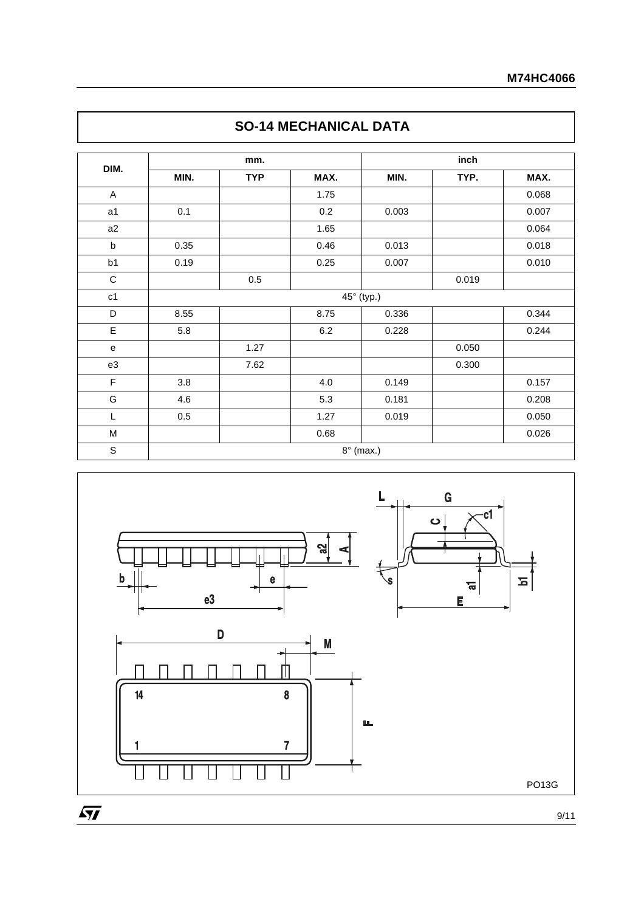| DIM.           |      | mm.        |      | inch       |       |       |  |  |
|----------------|------|------------|------|------------|-------|-------|--|--|
|                | MIN. | <b>TYP</b> | MAX. | MIN.       | TYP.  | MAX.  |  |  |
| A              |      |            | 1.75 |            |       | 0.068 |  |  |
| a <sub>1</sub> | 0.1  |            | 0.2  | 0.003      |       | 0.007 |  |  |
| a2             |      |            | 1.65 |            |       | 0.064 |  |  |
| b              | 0.35 |            | 0.46 | 0.013      |       | 0.018 |  |  |
| b <sub>1</sub> | 0.19 |            | 0.25 | 0.007      |       | 0.010 |  |  |
| $\mathbf C$    |      | $0.5\,$    |      |            | 0.019 |       |  |  |
| c1             |      |            |      | 45° (typ.) |       |       |  |  |
| D              | 8.55 |            | 8.75 | 0.336      |       | 0.344 |  |  |
| E              | 5.8  |            | 6.2  | 0.228      |       | 0.244 |  |  |
| ${\bf e}$      |      | 1.27       |      |            | 0.050 |       |  |  |
| e3             |      | 7.62       |      |            | 0.300 |       |  |  |
| F              | 3.8  |            | 4.0  | 0.149      |       | 0.157 |  |  |
| G              | 4.6  |            | 5.3  | 0.181      |       | 0.208 |  |  |
| L              | 0.5  |            | 1.27 | 0.019      |       | 0.050 |  |  |
| M              |      |            | 0.68 |            |       | 0.026 |  |  |



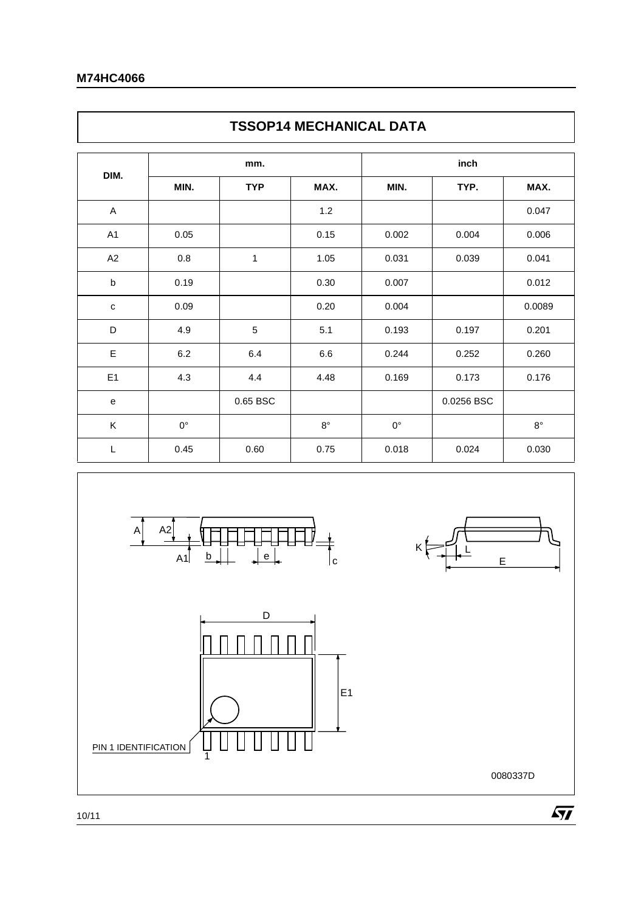$\Gamma$ 

|                | <b>TSSOP14 MECHANICAL DATA</b> |            |             |             |            |             |  |  |  |  |  |
|----------------|--------------------------------|------------|-------------|-------------|------------|-------------|--|--|--|--|--|
| DIM.           |                                | mm.        |             | inch        |            |             |  |  |  |  |  |
|                | MIN.                           | <b>TYP</b> | MAX.        | MIN.        | TYP.       | MAX.        |  |  |  |  |  |
| A              |                                |            | 1.2         |             |            | 0.047       |  |  |  |  |  |
| A <sub>1</sub> | 0.05                           |            | 0.15        | 0.002       | 0.004      | 0.006       |  |  |  |  |  |
| A2             | 0.8                            | 1          | 1.05        | 0.031       | 0.039      | 0.041       |  |  |  |  |  |
| b              | 0.19                           |            | 0.30        | 0.007       |            | 0.012       |  |  |  |  |  |
| $\mathbf C$    | 0.09                           |            | 0.20        | 0.004       |            | 0.0089      |  |  |  |  |  |
| D              | 4.9                            | 5          | 5.1         | 0.193       | 0.197      | 0.201       |  |  |  |  |  |
| E              | $6.2\,$                        | 6.4        | 6.6         | 0.244       | 0.252      | 0.260       |  |  |  |  |  |
| E <sub>1</sub> | 4.3                            | 4.4        | 4.48        | 0.169       | 0.173      | 0.176       |  |  |  |  |  |
| e              |                                | 0.65 BSC   |             |             | 0.0256 BSC |             |  |  |  |  |  |
| K              | $0^{\circ}$                    |            | $8^{\circ}$ | $0^{\circ}$ |            | $8^{\circ}$ |  |  |  |  |  |
| L              | 0.45                           | 0.60       | 0.75        | 0.018       | 0.024      | 0.030       |  |  |  |  |  |



٦

 $\sqrt{M}$ 

10/11